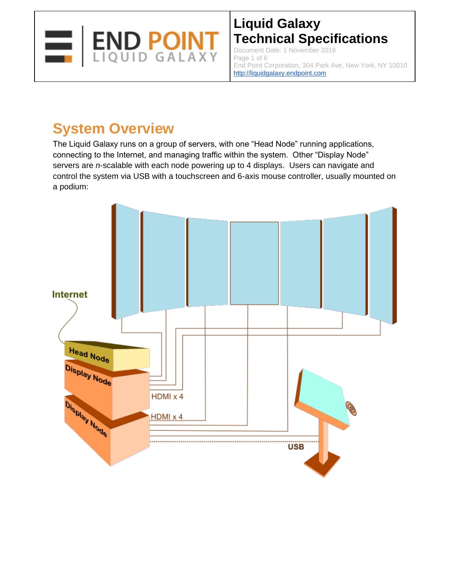

Document Date: 1 November 2016 Page 1 of 6 End Point Corporation, 304 Park Ave, New York, NY 10010 http://liquidgalaxy.endpoint.com

# **System Overview**

The Liquid Galaxy runs on a group of servers, with one "Head Node" running applications, connecting to the Internet, and managing traffic within the system. Other "Display Node" servers are *n-*scalable with each node powering up to 4 displays. Users can navigate and control the system via USB with a touchscreen and 6-axis mouse controller, usually mounted on a podium:

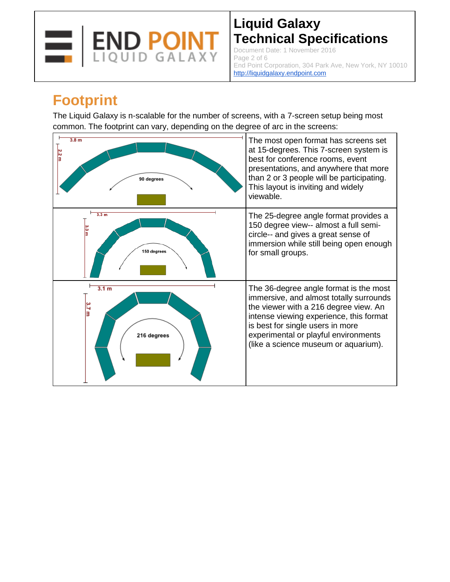

Document Date: 1 November 2016 Page 2 of 6 End Point Corporation, 304 Park Ave, New York, NY 10010 http://liquidgalaxy.endpoint.com

## **Footprint**

The Liquid Galaxy is n-scalable for the number of screens, with a 7-screen setup being most common. The footprint can vary, depending on the degree of arc in the screens:

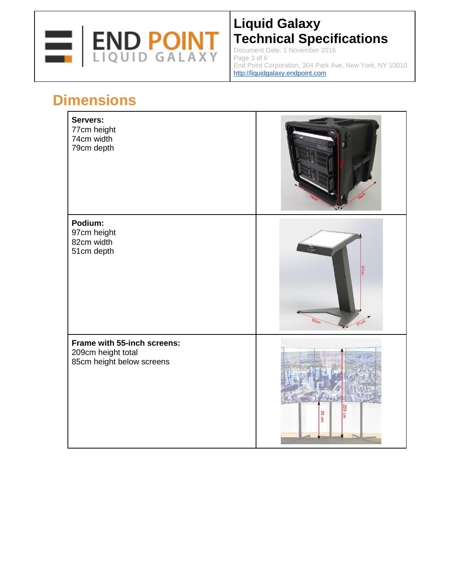

Document Date: 1 November 2016 Page 3 of 6 End Point Corporation, 304 Park Ave, New York, NY 10010 http://liquidgalaxy.endpoint.com

# **Dimensions**

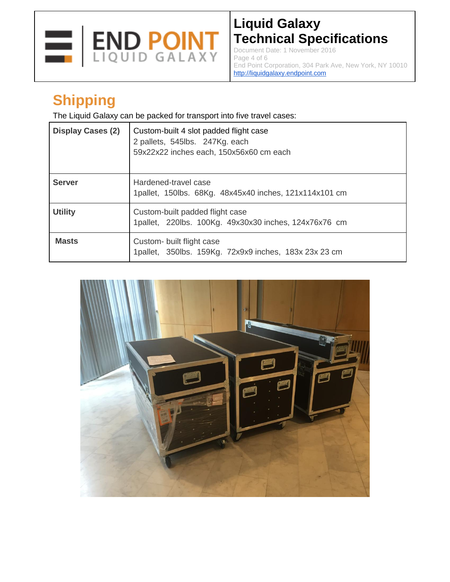

Document Date: 1 November 2016 Page 4 of 6 End Point Corporation, 304 Park Ave, New York, NY 10010 http://liquidgalaxy.endpoint.com

# **Shipping**

The Liquid Galaxy can be packed for transport into five travel cases:

| <b>Display Cases (2)</b> | Custom-built 4 slot padded flight case<br>2 pallets, 545lbs. 247Kg. each<br>59x22x22 inches each, 150x56x60 cm each |
|--------------------------|---------------------------------------------------------------------------------------------------------------------|
| <b>Server</b>            | Hardened-travel case<br>1pallet, 150lbs. 68Kg. 48x45x40 inches, 121x114x101 cm                                      |
| <b>Utility</b>           | Custom-built padded flight case<br>1pallet, 220lbs. 100Kg. 49x30x30 inches, 124x76x76 cm                            |
| <b>Masts</b>             | Custom- built flight case<br>1pallet, 350lbs. 159Kg. 72x9x9 inches, 183x 23x 23 cm                                  |

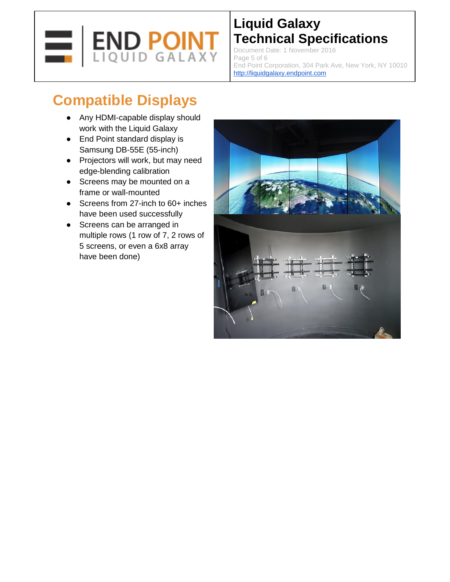

Document Date: 1 November 2016 Page 5 of 6 End Point Corporation, 304 Park Ave, New York, NY 10010 http://liquidgalaxy.endpoint.com

# **Compatible Displays**

- Any HDMI-capable display should work with the Liquid Galaxy
- End Point standard display is Samsung DB-55E (55-inch)
- Projectors will work, but may need edge-blending calibration
- Screens may be mounted on a frame or wall-mounted
- Screens from 27-inch to 60+ inches have been used successfully
- Screens can be arranged in multiple rows (1 row of 7, 2 rows of 5 screens, or even a 6x8 array have been done)